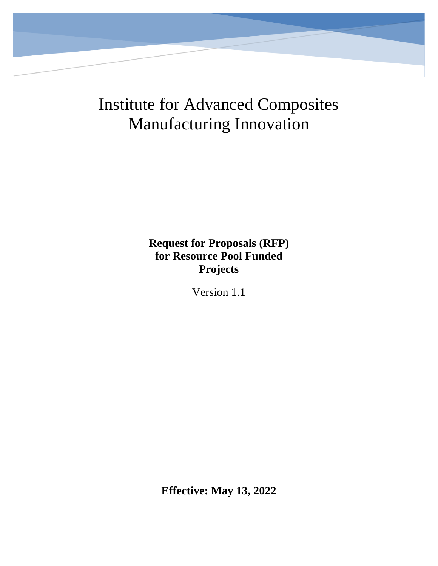Institute for Advanced Composites Manufacturing Innovation

> **Request for Proposals (RFP) for Resource Pool Funded Projects**

> > Version 1.1

**Effective: May 13, 2022**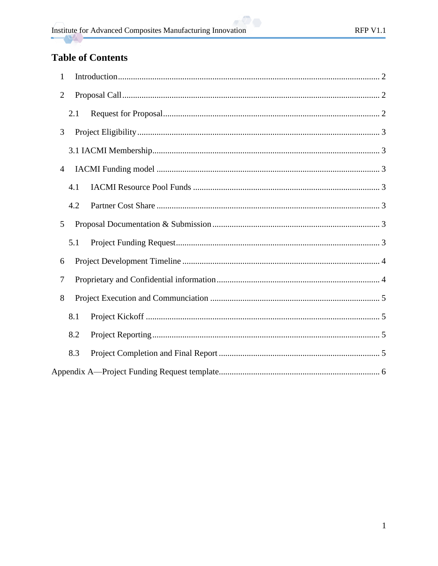# **Table of Contents**

| 1              |
|----------------|
| $\overline{2}$ |
| 2.1            |
| 3              |
|                |
| 4              |
| 4.1            |
| 4.2            |
| 5              |
| 5.1            |
| 6              |
| 7              |
| 8              |
| 8.1            |
| 8.2            |
| 8.3            |
|                |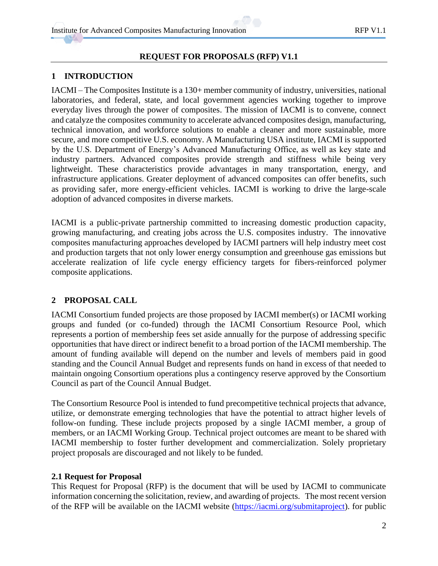### **REQUEST FOR PROPOSALS (RFP) V1.1**

### <span id="page-2-0"></span>**1 INTRODUCTION**

IACMI – The Composites Institute is a 130+ member community of industry, universities, national laboratories, and federal, state, and local government agencies working together to improve everyday lives through the power of composites. The mission of IACMI is to convene, connect and catalyze the composites community to accelerate advanced composites design, manufacturing, technical innovation, and workforce solutions to enable a cleaner and more sustainable, more secure, and more competitive U.S. economy. A Manufacturing USA institute, IACMI is supported by the U.S. Department of Energy's Advanced Manufacturing Office, as well as key state and industry partners. Advanced composites provide strength and stiffness while being very lightweight. These characteristics provide advantages in many transportation, energy, and infrastructure applications. Greater deployment of advanced composites can offer benefits, such as providing safer, more energy-efficient vehicles. IACMI is working to drive the large-scale adoption of advanced composites in diverse markets.

IACMI is a public-private partnership committed to increasing domestic production capacity, growing manufacturing, and creating jobs across the U.S. composites industry. The innovative composites manufacturing approaches developed by IACMI partners will help industry meet cost and production targets that not only lower energy consumption and greenhouse gas emissions but accelerate realization of life cycle energy efficiency targets for fibers-reinforced polymer composite applications.

### <span id="page-2-1"></span>**2 PROPOSAL CALL**

IACMI Consortium funded projects are those proposed by IACMI member(s) or IACMI working groups and funded (or co-funded) through the IACMI Consortium Resource Pool, which represents a portion of membership fees set aside annually for the purpose of addressing specific opportunities that have direct or indirect benefit to a broad portion of the IACMI membership. The amount of funding available will depend on the number and levels of members paid in good standing and the Council Annual Budget and represents funds on hand in excess of that needed to maintain ongoing Consortium operations plus a contingency reserve approved by the Consortium Council as part of the Council Annual Budget.

The Consortium Resource Pool is intended to fund precompetitive technical projects that advance, utilize, or demonstrate emerging technologies that have the potential to attract higher levels of follow-on funding. These include projects proposed by a single IACMI member, a group of members, or an IACMI Working Group. Technical project outcomes are meant to be shared with IACMI membership to foster further development and commercialization. Solely proprietary project proposals are discouraged and not likely to be funded.

### <span id="page-2-2"></span>**2.1 Request for Proposal**

This Request for Proposal (RFP) is the document that will be used by IACMI to communicate information concerning the solicitation, review, and awarding of projects. The most recent version of the RFP will be available on the IACMI website [\(https://iacmi.org/submitaproject\)](https://iacmi.org/submitaproject). for public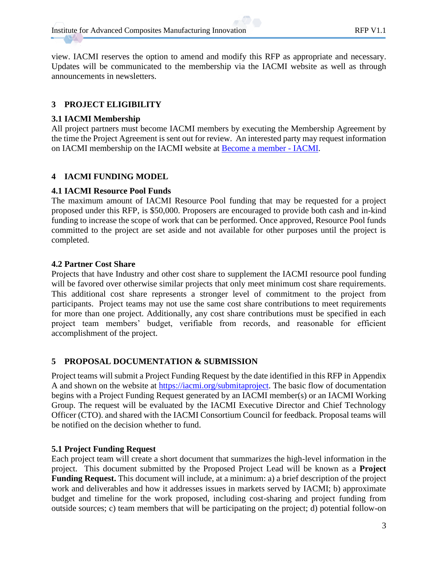view. IACMI reserves the option to amend and modify this RFP as appropriate and necessary. Updates will be communicated to the membership via the IACMI website as well as through announcements in newsletters.

### <span id="page-3-0"></span>**3 PROJECT ELIGIBILITY**

### <span id="page-3-1"></span>**3.1 IACMI Membership**

All project partners must become IACMI members by executing the Membership Agreement by the time the Project Agreement is sent out for review. An interested party may request information on IACMI membership on the IACMI website at [Become a member -](https://iacmi.org/members/become-a-member/) IACMI.

### <span id="page-3-2"></span>**4 IACMI FUNDING MODEL**

### <span id="page-3-3"></span>**4.1 IACMI Resource Pool Funds**

The maximum amount of IACMI Resource Pool funding that may be requested for a project proposed under this RFP, is \$50,000. Proposers are encouraged to provide both cash and in-kind funding to increase the scope of work that can be performed. Once approved, Resource Pool funds committed to the project are set aside and not available for other purposes until the project is completed.

### <span id="page-3-4"></span>**4.2 Partner Cost Share**

Projects that have Industry and other cost share to supplement the IACMI resource pool funding will be favored over otherwise similar projects that only meet minimum cost share requirements. This additional cost share represents a stronger level of commitment to the project from participants. Project teams may not use the same cost share contributions to meet requirements for more than one project. Additionally, any cost share contributions must be specified in each project team members' budget, verifiable from records, and reasonable for efficient accomplishment of the project.

### <span id="page-3-5"></span>**5 PROPOSAL DOCUMENTATION & SUBMISSION**

Project teams will submit a Project Funding Request by the date identified in this RFP in Appendix A and shown on the website at [https://iacmi.org/submitaproject.](https://iacmi.org/submitaproject) The basic flow of documentation begins with a Project Funding Request generated by an IACMI member(s) or an IACMI Working Group. The request will be evaluated by the IACMI Executive Director and Chief Technology Officer (CTO). and shared with the IACMI Consortium Council for feedback. Proposal teams will be notified on the decision whether to fund.

### <span id="page-3-6"></span>**5.1 Project Funding Request**

Each project team will create a short document that summarizes the high-level information in the project. This document submitted by the Proposed Project Lead will be known as a **Project Funding Request.** This document will include, at a minimum: a) a brief description of the project work and deliverables and how it addresses issues in markets served by IACMI; b) approximate budget and timeline for the work proposed, including cost-sharing and project funding from outside sources; c) team members that will be participating on the project; d) potential follow-on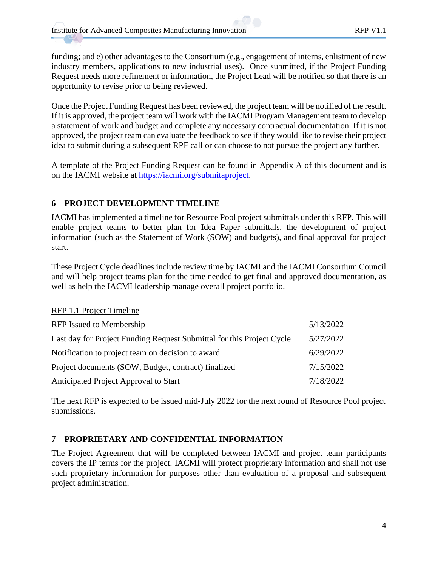funding; and e) other advantages to the Consortium (e.g., engagement of interns, enlistment of new industry members, applications to new industrial uses). Once submitted, if the Project Funding Request needs more refinement or information, the Project Lead will be notified so that there is an opportunity to revise prior to being reviewed.

Once the Project Funding Request has been reviewed, the project team will be notified of the result. If it is approved, the project team will work with the IACMI Program Management team to develop a statement of work and budget and complete any necessary contractual documentation. If it is not approved, the project team can evaluate the feedback to see if they would like to revise their project idea to submit during a subsequent RPF call or can choose to not pursue the project any further.

A template of the Project Funding Request can be found in Appendix A of this document and is on the IACMI website at [https://iacmi.org/submitaproject.](https://iacmi.org/submitaproject)

### <span id="page-4-0"></span>**6 PROJECT DEVELOPMENT TIMELINE**

IACMI has implemented a timeline for Resource Pool project submittals under this RFP. This will enable project teams to better plan for Idea Paper submittals, the development of project information (such as the Statement of Work (SOW) and budgets), and final approval for project start.

These Project Cycle deadlines include review time by IACMI and the IACMI Consortium Council and will help project teams plan for the time needed to get final and approved documentation, as well as help the IACMI leadership manage overall project portfolio.

#### RFP 1.1 Project Timeline

| RFP Issued to Membership                                              | 5/13/2022 |
|-----------------------------------------------------------------------|-----------|
| Last day for Project Funding Request Submittal for this Project Cycle | 5/27/2022 |
| Notification to project team on decision to award                     | 6/29/2022 |
| Project documents (SOW, Budget, contract) finalized                   | 7/15/2022 |
| Anticipated Project Approval to Start                                 | 7/18/2022 |

The next RFP is expected to be issued mid-July 2022 for the next round of Resource Pool project submissions.

### <span id="page-4-1"></span>**7 PROPRIETARY AND CONFIDENTIAL INFORMATION**

The Project Agreement that will be completed between IACMI and project team participants covers the IP terms for the project. IACMI will protect proprietary information and shall not use such proprietary information for purposes other than evaluation of a proposal and subsequent project administration.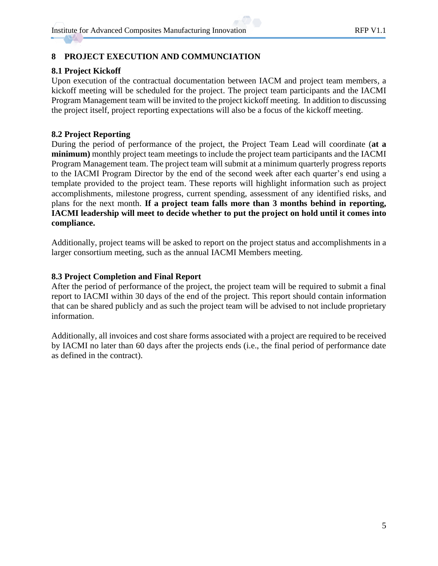### <span id="page-5-0"></span>**8 PROJECT EXECUTION AND COMMUNCIATION**

### <span id="page-5-1"></span>**8.1 Project Kickoff**

Upon execution of the contractual documentation between IACM and project team members, a kickoff meeting will be scheduled for the project. The project team participants and the IACMI Program Management team will be invited to the project kickoff meeting. In addition to discussing the project itself, project reporting expectations will also be a focus of the kickoff meeting.

### <span id="page-5-2"></span>**8.2 Project Reporting**

During the period of performance of the project, the Project Team Lead will coordinate (**at a minimum)** monthly project team meetings to include the project team participants and the IACMI Program Management team. The project team will submit at a minimum quarterly progress reports to the IACMI Program Director by the end of the second week after each quarter's end using a template provided to the project team. These reports will highlight information such as project accomplishments, milestone progress, current spending, assessment of any identified risks, and plans for the next month. **If a project team falls more than 3 months behind in reporting, IACMI leadership will meet to decide whether to put the project on hold until it comes into compliance.**

Additionally, project teams will be asked to report on the project status and accomplishments in a larger consortium meeting, such as the annual IACMI Members meeting.

### <span id="page-5-3"></span>**8.3 Project Completion and Final Report**

After the period of performance of the project, the project team will be required to submit a final report to IACMI within 30 days of the end of the project. This report should contain information that can be shared publicly and as such the project team will be advised to not include proprietary information.

Additionally, all invoices and cost share forms associated with a project are required to be received by IACMI no later than 60 days after the projects ends (i.e., the final period of performance date as defined in the contract).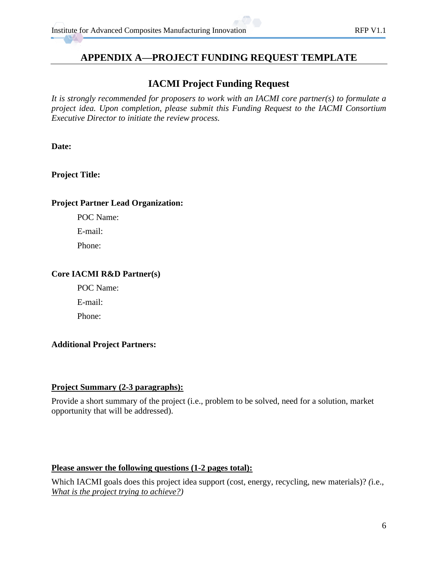## <span id="page-6-0"></span>**APPENDIX A—PROJECT FUNDING REQUEST TEMPLATE**

# **IACMI Project Funding Request**

*It is strongly recommended for proposers to work with an IACMI core partner(s) to formulate a project idea. Upon completion, please submit this Funding Request to the IACMI Consortium Executive Director to initiate the review process.* 

**Date:**

### **Project Title:**

### **Project Partner Lead Organization:**

POC Name:

E-mail:

Phone:

### **Core IACMI R&D Partner(s)**

POC Name: E-mail:

Phone:

### **Additional Project Partners:**

### **Project Summary (2-3 paragraphs):**

Provide a short summary of the project (i.e., problem to be solved, need for a solution, market opportunity that will be addressed).

### **Please answer the following questions (1-2 pages total):**

Which IACMI goals does this project idea support (cost, energy, recycling, new materials)? *(*i.e., *What is the project trying to achieve?)*